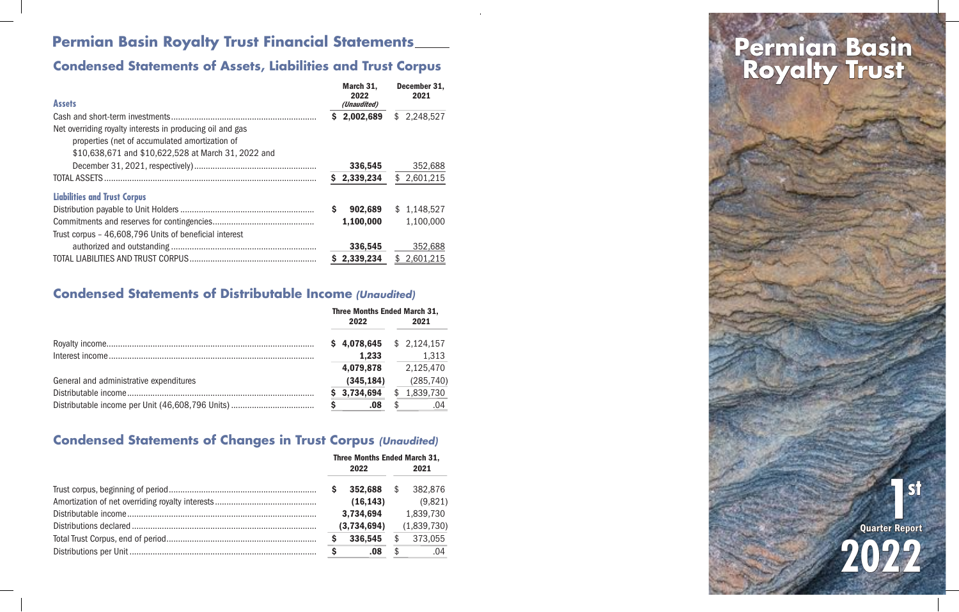## **Permian Basin Royalty Trust Financial Statements \_\_\_\_**

### **Condensed Statements of Assets, Liabilities and Trust Corpus**

| <b>Assets</b>                                             | March 31.<br>2022<br>(Unaudited) | December 31.<br>2021 |
|-----------------------------------------------------------|----------------------------------|----------------------|
|                                                           | 2,002,689<br>S                   | \$2,248,527          |
| Net overriding royalty interests in producing oil and gas |                                  |                      |
| properties (net of accumulated amortization of            |                                  |                      |
| \$10,638,671 and \$10,622,528 at March 31, 2022 and       |                                  |                      |
|                                                           | 336,545                          | 352,688              |
|                                                           | \$2,339,234                      | \$2,601,215          |
| <b>Liabilities and Trust Corpus</b>                       |                                  |                      |
|                                                           | Ś<br>902,689                     | \$1,148,527          |
|                                                           | 1,100,000                        | 1,100,000            |
| Trust corpus - 46,608,796 Units of beneficial interest    |                                  |                      |
|                                                           | 336,545                          | 352,688              |
|                                                           | \$2,339,234                      | \$2,601,215          |

### **Condensed Statements of Distributable Income** *(Unaudited)*

|                                         | <b>Three Months Ended March 31,</b> |             |  |             |
|-----------------------------------------|-------------------------------------|-------------|--|-------------|
|                                         |                                     | 2022        |  | 2021        |
|                                         |                                     | \$4,078,645 |  | \$2,124,157 |
|                                         |                                     | 1,233       |  | 1,313       |
|                                         |                                     | 4,079,878   |  | 2,125,470   |
| General and administrative expenditures |                                     | (345, 184)  |  | (285, 740)  |
|                                         |                                     | 3,734,694   |  | 1,839,730   |
|                                         |                                     | .08         |  | .04         |

### **Condensed Statements of Changes in Trust Corpus** *(Unaudited)*

| <b>Three Months Ended March 31,</b> |             |      |             |
|-------------------------------------|-------------|------|-------------|
| 2022                                |             | 2021 |             |
| S                                   | 352,688     | \$   | 382,876     |
|                                     | (16, 143)   |      | (9,821)     |
|                                     | 3,734,694   |      | 1,839,730   |
|                                     | (3,734,694) |      | (1,839,730) |
| Ş                                   | 336,545     | \$   | 373,055     |
| -S                                  | .08         | \$.  | .04         |

# **Royalty Trust**



**1** Quarter Report **2022**